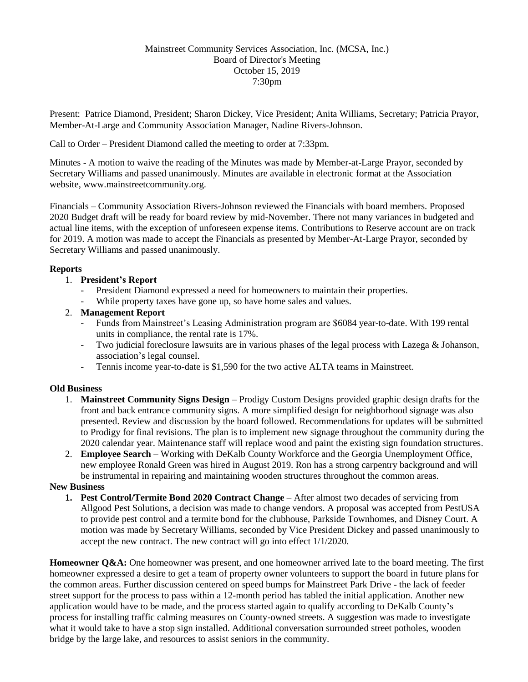## Mainstreet Community Services Association, Inc. (MCSA, Inc.) Board of Director's Meeting October 15, 2019 7:30pm

Present: Patrice Diamond, President; Sharon Dickey, Vice President; Anita Williams, Secretary; Patricia Prayor, Member-At-Large and Community Association Manager, Nadine Rivers-Johnson.

Call to Order – President Diamond called the meeting to order at 7:33pm.

Minutes - A motion to waive the reading of the Minutes was made by Member-at-Large Prayor, seconded by Secretary Williams and passed unanimously. Minutes are available in electronic format at the Association website, www.mainstreetcommunity.org.

Financials – Community Association Rivers-Johnson reviewed the Financials with board members. Proposed 2020 Budget draft will be ready for board review by mid-November. There not many variances in budgeted and actual line items, with the exception of unforeseen expense items. Contributions to Reserve account are on track for 2019. A motion was made to accept the Financials as presented by Member-At-Large Prayor, seconded by Secretary Williams and passed unanimously.

## **Reports**

- 1. **President's Report**
	- President Diamond expressed a need for homeowners to maintain their properties.
	- While property taxes have gone up, so have home sales and values.
- 2. **Management Report**
	- Funds from Mainstreet's Leasing Administration program are \$6084 year-to-date. With 199 rental units in compliance, the rental rate is 17%.
	- Two judicial foreclosure lawsuits are in various phases of the legal process with Lazega & Johanson, association's legal counsel.
	- Tennis income year-to-date is \$1,590 for the two active ALTA teams in Mainstreet.

## **Old Business**

- 1. **Mainstreet Community Signs Design** Prodigy Custom Designs provided graphic design drafts for the front and back entrance community signs. A more simplified design for neighborhood signage was also presented. Review and discussion by the board followed. Recommendations for updates will be submitted to Prodigy for final revisions. The plan is to implement new signage throughout the community during the 2020 calendar year. Maintenance staff will replace wood and paint the existing sign foundation structures.
- 2. **Employee Search** Working with DeKalb County Workforce and the Georgia Unemployment Office, new employee Ronald Green was hired in August 2019. Ron has a strong carpentry background and will be instrumental in repairing and maintaining wooden structures throughout the common areas.

## **New Business**

**1. Pest Control/Termite Bond 2020 Contract Change** – After almost two decades of servicing from Allgood Pest Solutions, a decision was made to change vendors. A proposal was accepted from PestUSA to provide pest control and a termite bond for the clubhouse, Parkside Townhomes, and Disney Court. A motion was made by Secretary Williams, seconded by Vice President Dickey and passed unanimously to accept the new contract. The new contract will go into effect 1/1/2020.

**Homeowner Q&A:** One homeowner was present, and one homeowner arrived late to the board meeting. The first homeowner expressed a desire to get a team of property owner volunteers to support the board in future plans for the common areas. Further discussion centered on speed bumps for Mainstreet Park Drive - the lack of feeder street support for the process to pass within a 12-month period has tabled the initial application. Another new application would have to be made, and the process started again to qualify according to DeKalb County's process for installing traffic calming measures on County-owned streets. A suggestion was made to investigate what it would take to have a stop sign installed. Additional conversation surrounded street potholes, wooden bridge by the large lake, and resources to assist seniors in the community.